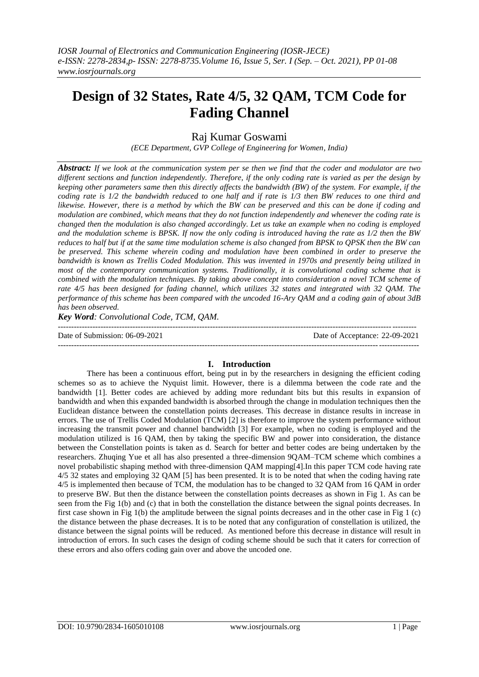# **Design of 32 States, Rate 4/5, 32 QAM, TCM Code for Fading Channel**

Raj Kumar Goswami

*(ECE Department, GVP College of Engineering for Women, India)*

*Abstract: If we look at the communication system per se then we find that the coder and modulator are two different sections and function independently. Therefore, if the only coding rate is varied as per the design by keeping other parameters same then this directly affects the bandwidth (BW) of the system. For example, if the coding rate is 1/2 the bandwidth reduced to one half and if rate is 1/3 then BW reduces to one third and likewise. However, there is a method by which the BW can be preserved and this can be done if coding and modulation are combined, which means that they do not function independently and whenever the coding rate is changed then the modulation is also changed accordingly. Let us take an example when no coding is employed and the modulation scheme is BPSK. If now the only coding is introduced having the rate as 1/2 then the BW reduces to half but if at the same time modulation scheme is also changed from BPSK to QPSK then the BW can be preserved. This scheme wherein coding and modulation have been combined in order to preserve the bandwidth is known as Trellis Coded Modulation. This was invented in 1970s and presently being utilized in most of the contemporary communication systems. Traditionally, it is convolutional coding scheme that is combined with the modulation techniques. By taking above concept into consideration a novel TCM scheme of rate 4/5 has been designed for fading channel, which utilizes 32 states and integrated with 32 QAM. The performance of this scheme has been compared with the uncoded 16-Ary QAM and a coding gain of about 3dB has been observed.*

*Key Word: Convolutional Code, TCM, QAM.*

| Date of Submission: 06-09-2021 | Date of Acceptance: 22-09-2021 |
|--------------------------------|--------------------------------|
|                                |                                |

# **I. Introduction**

There has been a continuous effort, being put in by the researchers in designing the efficient coding schemes so as to achieve the Nyquist limit. However, there is a dilemma between the code rate and the bandwidth [1]. Better codes are achieved by adding more redundant bits but this results in expansion of bandwidth and when this expanded bandwidth is absorbed through the change in modulation techniques then the Euclidean distance between the constellation points decreases. This decrease in distance results in increase in errors. The use of Trellis Coded Modulation (TCM) [2] is therefore to improve the system performance without increasing the transmit power and channel bandwidth [3] For example, when no coding is employed and the modulation utilized is 16 QAM, then by taking the specific BW and power into consideration, the distance between the Constellation points is taken as d. Search for better and better codes are being undertaken by the researchers. Zhuqing Yue et all has also presented a three-dimension 9QAM–TCM scheme which combines a novel probabilistic shaping method with three-dimension QAM mapping[4].In this paper TCM code having rate 4/5 32 states and employing 32 QAM [5] has been presented. It is to be noted that when the coding having rate 4/5 is implemented then because of TCM, the modulation has to be changed to 32 QAM from 16 QAM in order to preserve BW. But then the distance between the constellation points decreases as shown in Fig 1. As can be seen from the Fig 1(b) and (c) that in both the constellation the distance between the signal points decreases. In first case shown in Fig 1(b) the amplitude between the signal points decreases and in the other case in Fig 1 (c) the distance between the phase decreases. It is to be noted that any configuration of constellation is utilized, the distance between the signal points will be reduced. As mentioned before this decrease in distance will result in introduction of errors. In such cases the design of coding scheme should be such that it caters for correction of these errors and also offers coding gain over and above the uncoded one.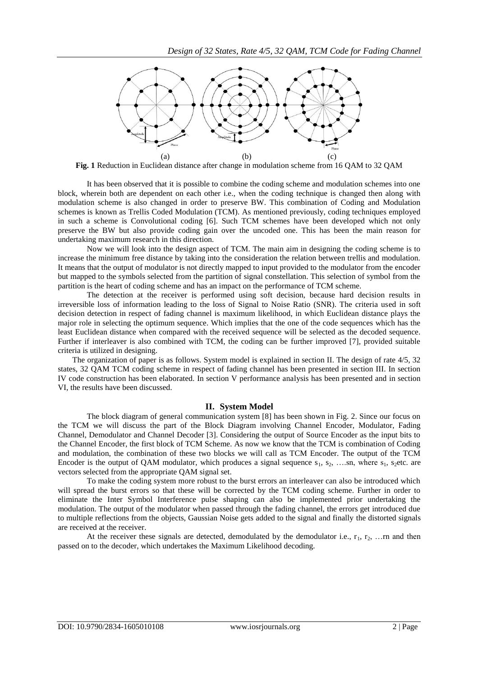

**Fig. 1** Reduction in Euclidean distance after change in modulation scheme from 16 QAM to 32 QAM

It has been observed that it is possible to combine the coding scheme and modulation schemes into one block, wherein both are dependent on each other i.e., when the coding technique is changed then along with modulation scheme is also changed in order to preserve BW. This combination of Coding and Modulation schemes is known as Trellis Coded Modulation (TCM). As mentioned previously, coding techniques employed in such a scheme is Convolutional coding [6]. Such TCM schemes have been developed which not only preserve the BW but also provide coding gain over the uncoded one. This has been the main reason for undertaking maximum research in this direction.

Now we will look into the design aspect of TCM. The main aim in designing the coding scheme is to increase the minimum free distance by taking into the consideration the relation between trellis and modulation. It means that the output of modulator is not directly mapped to input provided to the modulator from the encoder but mapped to the symbols selected from the partition of signal constellation. This selection of symbol from the partition is the heart of coding scheme and has an impact on the performance of TCM scheme.

The detection at the receiver is performed using soft decision, because hard decision results in irreversible loss of information leading to the loss of Signal to Noise Ratio (SNR). The criteria used in soft decision detection in respect of fading channel is maximum likelihood, in which Euclidean distance plays the major role in selecting the optimum sequence. Which implies that the one of the code sequences which has the least Euclidean distance when compared with the received sequence will be selected as the decoded sequence. Further if interleaver is also combined with TCM, the coding can be further improved [7], provided suitable criteria is utilized in designing.

The organization of paper is as follows. System model is explained in section II. The design of rate 4/5, 32 states, 32 QAM TCM coding scheme in respect of fading channel has been presented in section III. In section IV code construction has been elaborated. In section V performance analysis has been presented and in section VI, the results have been discussed.

### **II. System Model**

The block diagram of general communication system [8] has been shown in Fig. 2. Since our focus on the TCM we will discuss the part of the Block Diagram involving Channel Encoder, Modulator, Fading Channel, Demodulator and Channel Decoder [3]. Considering the output of Source Encoder as the input bits to the Channel Encoder, the first block of TCM Scheme. As now we know that the TCM is combination of Coding and modulation, the combination of these two blocks we will call as TCM Encoder. The output of the TCM Encoder is the output of QAM modulator, which produces a signal sequence  $s_1, s_2, \ldots, s_n$ , where  $s_1, s_2$ etc. are vectors selected from the appropriate QAM signal set.

To make the coding system more robust to the burst errors an interleaver can also be introduced which will spread the burst errors so that these will be corrected by the TCM coding scheme. Further in order to eliminate the Inter Symbol Interference pulse shaping can also be implemented prior undertaking the modulation. The output of the modulator when passed through the fading channel, the errors get introduced due to multiple reflections from the objects, Gaussian Noise gets added to the signal and finally the distorted signals are received at the receiver.

At the receiver these signals are detected, demodulated by the demodulator i.e.,  $r_1$ ,  $r_2$ , ... rn and then passed on to the decoder, which undertakes the Maximum Likelihood decoding.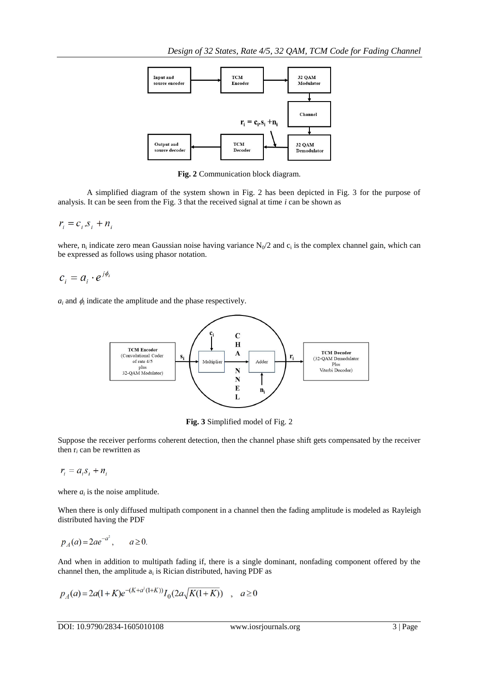

**Fig. 2** Communication block diagram.

A simplified diagram of the system shown in Fig. 2 has been depicted in Fig. 3 for the purpose of analysis. It can be seen from the Fig. 3 that the received signal at time *i* can be shown as

 $r_i = c_i \, s_i + n_i$ 

where,  $n_i$  indicate zero mean Gaussian noise having variance  $N_0/2$  and  $c_i$  is the complex channel gain, which can be expressed as follows using phasor notation.

 $c_i = a_i \cdot e^{j\phi_i}$ 

 $a_i$  and  $\phi_i$  indicate the amplitude and the phase respectively.



**Fig. 3** Simplified model of Fig. 2

Suppose the receiver performs coherent detection, then the channel phase shift gets compensated by the receiver then  $r_i$  can be rewritten as

$$
r_i = a_i s_i + n_i
$$

where  $a_i$  is the noise amplitude.

When there is only diffused multipath component in a channel then the fading amplitude is modeled as Rayleigh distributed having the PDF

$$
p_A(a) = 2ae^{-a^2}, \qquad a \ge 0.
$$

And when in addition to multipath fading if, there is a single dominant, nonfading component offered by the channel then, the amplitude  $a_i$  is Rician distributed, having PDF as

$$
p_A(a) = 2a(1+K)e^{-(K+a^2(1+K))}I_0(2a\sqrt{K(1+K)}) \quad , \quad a \ge 0
$$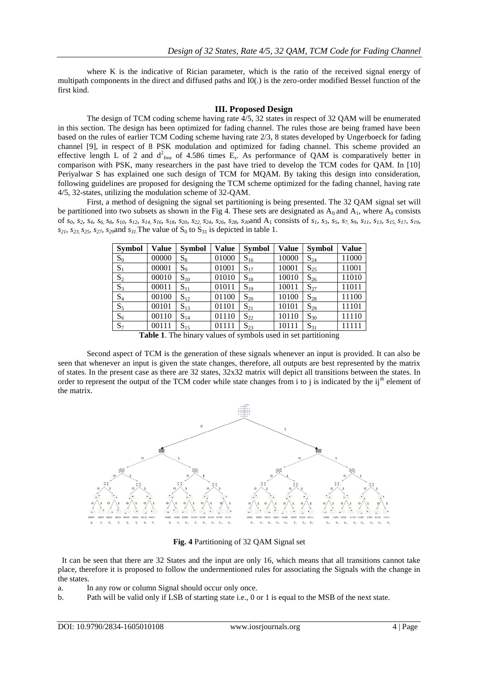where K is the indicative of Rician parameter, which is the ratio of the received signal energy of multipath components in the direct and diffused paths and I0(.) is the zero-order modified Bessel function of the first kind.

## **III. Proposed Design**

The design of TCM coding scheme having rate 4/5, 32 states in respect of 32 QAM will be enumerated in this section. The design has been optimized for fading channel. The rules those are being framed have been based on the rules of earlier TCM Coding scheme having rate 2/3, 8 states developed by Ungerboeck for fading channel [9], in respect of 8 PSK modulation and optimized for fading channel. This scheme provided an effective length L of 2 and  $d^2_{free}$  of 4.586 times  $E_s$ . As performance of QAM is comparatively better in comparison with PSK, many researchers in the past have tried to develop the TCM codes for QAM. In [10] Periyalwar S has explained one such design of TCM for MQAM. By taking this design into consideration, following guidelines are proposed for designing the TCM scheme optimized for the fading channel, having rate 4/5, 32-states, utilizing the modulation scheme of 32-QAM.

First, a method of designing the signal set partitioning is being presented. The 32 QAM signal set will be partitioned into two subsets as shown in the Fig 4. These sets are designated as  $A_0$  and  $A_1$ , where  $A_0$  consists of  $s_0$ ,  $s_2$ ,  $s_4$ ,  $s_6$ ,  $s_8$ ,  $s_{10}$ ,  $s_{12}$ ,  $s_{14}$ ,  $s_{16}$ ,  $s_{18}$ ,  $s_{20}$ ,  $s_{22}$ ,  $s_{24}$ ,  $s_{26}$ ,  $s_{28}$ ,  $s_{30}$  and  $A_1$  consists of  $s_1$ ,  $s_3$ ,  $s_5$ ,  $s_7$ ,  $s_9$ ,  $s_{11}$ ,  $s_{13}$ ,  $s_{15}$ ,  $s_{21}$ ,  $s_{23}$ ,  $s_{25}$ ,  $s_{27}$ ,  $s_{29}$  and  $s_{31}$ .The value of  $S_0$  to  $S_{31}$  is depicted in table 1.

| <b>Symbol</b> | <b>Value</b> | <b>Symbol</b> | <b>Value</b> | <b>Symbol</b> | <b>Value</b> | <b>Symbol</b>                                                        | <b>Value</b> |
|---------------|--------------|---------------|--------------|---------------|--------------|----------------------------------------------------------------------|--------------|
| $S_0$         | 00000        | $S_8$         | 01000        | $S_{16}$      | 10000        | $S_{24}$                                                             | 11000        |
| $S_1$         | 00001        | $S_9$         | 01001        | $S_{17}$      | 10001        | $S_{25}$                                                             | 11001        |
| $S_2$         | 00010        | $S_{10}$      | 01010        | $S_{18}$      | 10010        | $S_{26}$                                                             | 11010        |
| $S_3$         | 00011        | $S_{11}$      | 01011        | $S_{19}$      | 10011        | $S_{27}$                                                             | 11011        |
| $S_4$         | 00100        | $S_{12}$      | 01100        | $S_{20}$      | 10100        | $S_{28}$                                                             | 11100        |
| $S_5$         | 00101        | $S_{13}$      | 01101        | $S_{21}$      | 10101        | $S_{29}$                                                             | 11101        |
| $S_6$         | 00110        | $S_{14}$      | 01110        | $S_{22}$      | 10110        | $S_{30}$                                                             | 11110        |
| $S_7$         | 00111        | $S_{15}$      | 01111        | $S_{23}$      | 10111        | $S_{31}$                                                             | 11111        |
|               |              |               |              |               |              | <b>Table 1</b> The binary values of symbols used in set partitioning |              |

**Table 1**. The binary values of symbols used in set partitioning

Second aspect of TCM is the generation of these signals whenever an input is provided. It can also be seen that whenever an input is given the state changes, therefore, all outputs are best represented by the matrix of states. In the present case as there are 32 states, 32x32 matrix will depict all transitions between the states. In order to represent the output of the TCM coder while state changes from i to j is indicated by the ij<sup>th</sup> element of the matrix.



**Fig. 4** Partitioning of 32 QAM Signal set

 It can be seen that there are 32 States and the input are only 16, which means that all transitions cannot take place, therefore it is proposed to follow the undermentioned rules for associating the Signals with the change in the states.

- a. In any row or column Signal should occur only once.
- b. Path will be valid only if LSB of starting state i.e., 0 or 1 is equal to the MSB of the next state.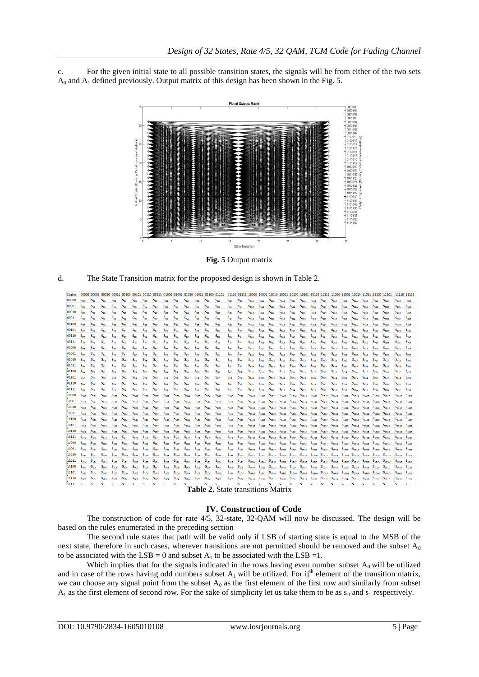c. For the given initial state to all possible transition states, the signals will be from either of the two sets  $A_0$  and  $A_1$  defined previously. Output matrix of this design has been shown in the Fig. 5.



**Fig. 5** Output matrix



| <b>States</b> |                       |                  |                  |                  |                       |                          |                       |                    |                       |                  |                             |                  |                       | 00000 00001 00010 00011 00100 00101 00110 00111 01000 01001 01001 01010 01110 01110 01110 01111 10000 10001 10010 10010 10011 01000 10101 01101 01110 10111 11000 11011 01100 111010 111110 11110 111110 111110 11111 |                  |                       |                  |                    |                                  |                  |                     |            |                                                                   |                     |                       |                                                                                                                                                                                                                                                                               |                  |                     |                  |                   |                     |                       |
|---------------|-----------------------|------------------|------------------|------------------|-----------------------|--------------------------|-----------------------|--------------------|-----------------------|------------------|-----------------------------|------------------|-----------------------|-----------------------------------------------------------------------------------------------------------------------------------------------------------------------------------------------------------------------|------------------|-----------------------|------------------|--------------------|----------------------------------|------------------|---------------------|------------|-------------------------------------------------------------------|---------------------|-----------------------|-------------------------------------------------------------------------------------------------------------------------------------------------------------------------------------------------------------------------------------------------------------------------------|------------------|---------------------|------------------|-------------------|---------------------|-----------------------|
| 00000         | $S_{\alpha\alpha}$    | $S_{01}$         | $S_{02}$         | $S_{03}$         | $S_{04}$              | $S_{05}$                 | $S_{00}$              | $S_{07}$           | $S_{08}$              | $S_{09}$         | $S_{0A}$                    | $S_{08}$         | $S_{\rm oc}$          | $S_{0D}$                                                                                                                                                                                                              | $S_{\text{def}}$ | $S_{\text{or}}$       | $S_{010}$        | $S_{011}$          | $S_{012}$                        | $S_{013}$        | $S_{014}$           | $S_{015}$  | $S_{016}$                                                         | $S_{017}$           | $S_{018}$             | $S_{019}$                                                                                                                                                                                                                                                                     | $S_{01A}$        | $S_{015}$           | $S_{01C}$        | $S_{010}$         | $S_{O1E}$           | $S_{01}$              |
| 00001         | $S_{10}$              | $S_{11}$         | $S_{12}$         | $S_{13}$         | $S_{14}$              | $S_{15}$                 | $S_{16}$              | $S_{17}$           | $S_{18}$              | $S_{19}$         | $S_{1A}$                    | $S_{18}$         | $S_{1c}$              | $S_{10}$                                                                                                                                                                                                              | $S_{1E}$         | $S_{1F}$              | $S_{110}$        | $S_{111}$          | $S_{112}$                        | $S_{113}$        | S <sub>114</sub>    | $S_{115}$  | $S_{116}$                                                         | $S_{117}$           | $S_{118}$             | S <sub>119</sub>                                                                                                                                                                                                                                                              | $S_{11A}$        | $S_{118}$           | S <sub>11C</sub> | $S_{11D}$         | $S_{11E}$           | $S_{11F}$             |
| 00010         | $S_{20}$              | $S_{21}$         | $S_{22}$         | $S_{23}$         | $S_{24}$              | $S_{25}$                 | $S_{26}$              | $S_{27}$           | $S_{28}$              | $S_{29}$         | $S_{2A}$                    | $S_{2B}$         | $S_{2C}$              | $S_{20}$                                                                                                                                                                                                              | $S_{2E}$         | $S_{2F}$              | $S_{210}$        | $S_{211}$          | $S_{212}$                        | $S_{213}$        | $S_{214}$           | $S_{215}$  | $S_{216}$                                                         | $S_{217}$           | $S_{218}$             | $S_{219}$                                                                                                                                                                                                                                                                     | $S_{21A}$        | $S_{21B}$           | $S_{21C}$        | $S_{21D}$         | $S_{21E}$           | $S_{21F}$             |
| 00011         | $S_{50}$              | $S_{31}$         | $S_{32}$         | $S_{33}$         | $S_{34}$              | $S_{35}$                 | $S_{36}$              | $S_{37}$           | $S_{38}$              | $S_{39}$         | $S_{\pi\Delta}$             | $S_{35}$         | $S_{3C}$              | $S_{3D}$                                                                                                                                                                                                              | $S_{38}$         | $S_{3r}$              | $S_{310}$        | $S_{311}$          | $S_{312}$                        | $S_{313}$        | $S_{314}$           | $S_{315}$  | $S_{316}$                                                         | $S_{317}$           | $S_{318}$             | $S_{319}$                                                                                                                                                                                                                                                                     | $S_{31A}$        | $S_{315}$           | $S_{31C}$        | $S_{310}$         | $S_{315}$           | $S_{31F}$             |
| 00100         | $S_{40}$              | $S_{41}$         | $S_{42}$         | $S_{43}$         | S <sub>aa</sub>       | $S_{45}$                 | $S_{46}$              | $S_{47}$           | $S_{48}$              | $S_{49}$         | $S_{4A}$                    | $S_{AB}$         | $S_{AC}$              | $S_{4D}$                                                                                                                                                                                                              | $S_{4E}$         | $S_{\text{df}}$       | $S_{410}$        | $S_{411}$          | $S_{412}$                        | $S_{413}$        | $S_{414}$           | $S_{415}$  | $S_{416}$                                                         | $S_{417}$           | $S_{418}$             | $S_{419}$                                                                                                                                                                                                                                                                     | $S_{41A}$        | $S_{418}$           | $S_{41C}$        | S <sub>41D</sub>  | $S_{41E}$           | $S_{41F}$             |
| 00101         | S <sub>50</sub>       | $S_{51}$         | $S_{52}$         | $S_{53}$         | $S_{54}$              | $S_{55}$                 | $S_{56}$              | $S_{57}$           | $S_{58}$              | $S_{59}$         | $S_{SA}$                    | $S_{58}$         | S <sub>sc</sub>       | $S_{5D}$                                                                                                                                                                                                              | $S_{\text{RF}}$  | $S_{\text{RF}}$       | $S_{510}$        | $S_{511}$          | $S_{512}$                        | S <sub>513</sub> | $S_{514}$           | $S_{515}$  | S <sub>516</sub>                                                  | $S_{517}$           | $S_{518}$             | S <sub>519</sub>                                                                                                                                                                                                                                                              | $S_{51A}$        | S <sub>51B</sub>    | $S_{51C}$        | S <sub>51D</sub>  | $S_{\text{SIE}}$    | $S_{51F}$             |
| 00110         | $S_{60}$              | $S_{61}$         | $S_{62}$         | $S_{63}$         | $S_{\text{flat}}$     | $S_{65}$                 | S <sub>nn</sub>       | $S_{67}$           | <b>S<sub>na</sub></b> | $S_{60}$         | $S_{na}$                    | $S_{nn}$         | $S_{nc}$              | $S_{60}$                                                                                                                                                                                                              | $S_{\alpha r}$   | <b>S<sub>nF</sub></b> | $S_{610}$        | $S_{611}$          | $S_{612}$                        | $S_{613}$        | $S_{614}$           | $S_{615}$  | $S_{616}$                                                         | $S_{617}$           | $S_{618}$             | S <sub>619</sub>                                                                                                                                                                                                                                                              | $S_{614}$        | $S_{615}$           | $S_{\text{acc}}$ | $S_{61D}$         | $S_{617}$           | $S_{611}$             |
| 00111         | $S_{20}$              | $S_{71}$         | $S_{22}$         | $S_{73}$         | $S_{74}$              | $S_{75}$                 | $S_{76}$              | $S_{22}$           | $S_{28}$              | $S_{70}$         | $S_{7\Delta}$               | $S_{78}$         | $S_{7c}$              | $S_{70}$                                                                                                                                                                                                              | $S_{7E}$         | $S_{2F}$              | $S_{710}$        | $S_{711}$          | $S_{712}$                        | $S_{713}$        | $S_{714}$           | $S_{715}$  | $S_{716}$                                                         | $S_{717}$           | $S_{718}$             | $S_{719}$                                                                                                                                                                                                                                                                     | $S_{71A}$        | $S_{71B}$           | $S_{71C}$        | $S_{710}$         | $S_{71E}$           | $S_{71F}$             |
| 01000         | $S_{\rm{an}}$         | $S_{\rm{ext}}$   | $S_{82}$         | $S_{\rm R2}$     | $S_{\text{max}}$      | $S_{85}$                 | $S_{BS}$              | $S_{\rm 87}$       | S <sub>RR</sub>       | $S_{\rm iso}$    | $S_{\rm{RA}}$               | S <sub>an</sub>  | <b>S<sub>BC</sub></b> | $S_{8D}$                                                                                                                                                                                                              | $S_{\text{as}}$  | $S_{\rm str}$         | $S_{810}$        | $S_{811}$          | $S_{812}$                        | $S_{813}$        | $S_{814}$           | $S_{B15}$  | $S_{816}$                                                         | $S_{817}$           | $S_{B1B}$             | $S_{819}$                                                                                                                                                                                                                                                                     | $S_{B1A}$        | $S_{B1B}$           | $S_{\text{B1C}}$ | $S_{\rm{min}}$    | $S_{R1F}$           | $S_{R1F}$             |
| 01001         | $S_{90}$              | $S_{91}$         | $S_{92}$         | $S_{93}$         | $S_{\alpha_{\alpha}}$ | $\mathsf{s}_\mathsf{ss}$ | $S_{96}$              | $S_{97}$           | $S_{95}$              | $S_{gg}$         | $S_{\text{SA}}$             | $S_{95}$         | $S_{\rm SC}$          | $S_{g_D}$                                                                                                                                                                                                             | $S_{\alpha r}$   | $S_{\alpha r}$        | $S_{910}$        | $S_{911}$          | $S_{912}$                        | $S_{913}$        | $S_{914}$           | $S_{915}$  | $S_{916}$                                                         | $S_{917}$           | $S_{918}$             | $S_{919}$                                                                                                                                                                                                                                                                     | $S_{91A}$        | $S_{915}$           | $S_{91C}$        | $S_{91D}$         | $S_{91E}$           | $S_{91F}$             |
| 01010         | <b>S<sub>nn</sub></b> | $S_{\Delta 1}$   | $S_{A2}$         | $S_{AB}$         | $S_{\Delta 4}$        | $S_{AS}$                 | <b>S<sub>as</sub></b> | $S_{A7}$           | $S_{AB}$              | $S_{A0}$         | $S_{AA}$                    | $S_{AB}$         | $S_{AC}$              | S <sub>ap</sub>                                                                                                                                                                                                       | $S_{AE}$         | $S_{AF}$              | $S_{A10}$        | $S_{A11}$          | $S_{A12}$                        | $S_{AB}$         | $S_{A14}$           | $S_{A15}$  | $S_{A16}$                                                         | $S_{A17}$           | $S_{A18}$             | $S_{A19}$                                                                                                                                                                                                                                                                     | $S_{A1A}$        | $S_{A1B}$           | $S_{A1C}$        | $S_{AB}$          | $S_{A1E}$           | $S_{A1F}$             |
| 01011         | $S_{B0}$              | $S_{B1}$         | $S_{B2}$         | $S_{B3}$         | $S_{BA}$              | $S_{BS}$                 | $S_{BS}$              | $S_{B7}$           | $S_{BB}$              | $S_{89}$         | $S_{BA}$                    | $S_{BB}$         | $S_{BC}$              | $S_{BD}$                                                                                                                                                                                                              | $S_{BE}$         | $S_{BF}$              | $S_{B10}$        | $\mathbf{S_{B11}}$ | $S_{B12}$                        | $S_{B13}$        | $S_{B14}$           | $S_{B15}$  | $S_{B16}$                                                         | $S_{B17}$           | $S_{\rm B18}$         | $S_{B19}$                                                                                                                                                                                                                                                                     | $S_{B1A}$        | $S_{B1B}$           | $S_{B1C}$        | $S_{B1D}$         | $S_{B1E}$           | $S_{B1F}$             |
| 01100         | $S_{cn}$              | $S_{C1}$         | $S_{C2}$         | $S_{C3}$         | $S_{ca}$              | S <sub>cs</sub>          | $S_{\text{CS}}$       | $S_{cr}$           | $S_{CB}$              | $S_{\text{CS}}$  | $S_{ca}$                    | $S_{CB}$         | $S_{CC}$              | $S_{CD}$                                                                                                                                                                                                              | $S_{cr}$         | $S_{\text{CF}}$       | S <sub>c10</sub> | $S_{\rm C11}$      | S <sub>c12</sub>                 | S <sub>c13</sub> | S <sub>C14</sub>    | $S_{C15}$  | S <sub>c16</sub>                                                  | $S_{C17}$           | S <sub>c18</sub>      | S <sub>c19</sub>                                                                                                                                                                                                                                                              | $S_{C1A}$        | S <sub>C15</sub>    | $S_{\text{C1C}}$ | $S_{\rm c1D}$     | $S_{C1E}$           | $S_{\text{crit}}$     |
| 01101         | $S_{00}$              | $S_{D1}$         | $S_{D2}$         | $S_{D3}$         | $S_{DM}$              | $S_{DS}$                 | $S_{DS}$              | $S_{D7}$           | $S_{DB}$              | $S_{00}$         | $S_{DA}$                    | $S_{DB}$         | $S_{\rm DC}$          | $S_{DD}$                                                                                                                                                                                                              | $S_{DE}$         | $S_{DF}$              | $S_{D10}$        | $S_{D11}$          | $S_{D12}$                        | $S_{D13}$        | $S_{D14}$           | $S_{D15}$  | $S_{D16}$                                                         | $S_{D17}$           | $S_{D18}$             | $S_{D19}$                                                                                                                                                                                                                                                                     | $S_{D1A}$        | $S_{D1B}$           | $S_{D1C}$        | $S_{D1D}$         | $S_{D1E}$           | $S_{\text{D1F}}$      |
| 01110         | $S_{\text{F}}$        | $S_{F1}$         | $S_{E2}$         | $S_{E3}$         | $S_{FA}$              | $S_{ES}$                 | $S_{\rm{FE}}$         | $S_{F2}$           | $S_{EB}$              | $S_{E9}$         | <b>S<sub>EA</sub></b>       | $S_{FR}$         | $S_{EC}$              | $S_{\text{FD}}$                                                                                                                                                                                                       | $S_{FF}$         | $S_{\text{rf}}$       | $S_{E10}$        | $S_{E11}$          | $S_{E12}$                        | $S_{E13}$        | $S_{E14}$           | $S_{E15}$  | $S_{E16}$                                                         | $S_{E17}$           | $S_{\rm E18}$         | $S_{E19}$                                                                                                                                                                                                                                                                     | $S_{E1A}$        | $S_{E1B}$           | S <sub>E1C</sub> | $S_{E1D}$         | $S_{E1E}$           | $S_{E1F}$             |
| 01111         | $S_{\rm re}$          | $S_{F1}$         | $S_{F2}$         | $S_{F3}$         | $S_{\text{rel}}$      | $S_{FS}$                 | $S_{FS}$              | $S_{F7}$           | $S_{FB}$              | $S_{rg}$         | $S_{FA}$                    | $S_{\rm rx}$     | $S_{\text{FC}}$       | $S_{FD}$                                                                                                                                                                                                              | $S_{rr}$         | $S_{rr}$              | $S_{F10}$        | $S_{F11}$          | $S_{F12}$                        | $S_{F13}$        | $S_{F14}$           | $S_{F15}$  | $S_{F16}$                                                         | $S_{F17}$           | $S_{F18}$             | $S_{F19}$                                                                                                                                                                                                                                                                     | S <sub>F1A</sub> | $S_{F1B}$           | $S_{F1C}$        | S <sub>F1D</sub>  | $S_{F1E}$           | $S_{F1F}$             |
| 10000         | $S_{100}$             | $S_{101}$        | $S_{102}$        | S <sub>103</sub> | $S_{104}$             | $S_{105}$                | $S_{106}$             | S <sub>107</sub>   | $S_{108}$             | $S_{109}$        | $S_{10\Delta}$              | S <sub>10B</sub> | S <sub>100</sub>      | $S_{100}$                                                                                                                                                                                                             | $S_{100}$        | S <sub>10F</sub>      | $S_{1010}$       | S <sub>1011</sub>  | $S_{1012}$                       | $S_{1013}$       | $\mathbf{S}_{1014}$ | $S_{1015}$ | $\mathbf{S}_{1016}$                                               | $\mathsf{S}_{1017}$ | $S_{1018}$ $S_{1019}$ |                                                                                                                                                                                                                                                                               | $S_{101A}$       | $\mathbf{S_{101B}}$ | $S_{101C}$       | S <sub>101D</sub> | $S_{101E}$          | S <sub>101F</sub>     |
| 10001         | $S_{110}$             | $S_{111}$        | $S_{112}$        | $S_{113}$        | $S_{114}$             | $S_{115}$                | $S_{116}$             | $S_{117}$          | $S_{118}$             | S <sub>119</sub> | $\mathsf{S}_{\mathtt{11A}}$ | S <sub>118</sub> | $S_{11C}$             | $S_{11D}$                                                                                                                                                                                                             | $S_{11E}$        | S <sub>11F</sub>      |                  |                    |                                  |                  |                     |            |                                                                   |                     |                       | S <sub>1110</sub> S <sub>1111</sub> S <sub>1112</sub> S <sub>1113</sub> S <sub>1114</sub> S <sub>1115</sub> S <sub>1116</sub> S <sub>1117</sub> S <sub>1118</sub> S <sub>1119</sub> S <sub>1118</sub> S <sub>1118</sub> S <sub>1110</sub> S <sub>1110</sub>                   |                  |                     |                  |                   |                     | $S_{111E}$ $S_{111F}$ |
| 10010         | $S_{120}$             | $S_{121}$        | $S_{122}$        | $S_{123}$        | $S_{124}$             | $S_{125}$                | $S_{126}$             | $S_{127}$          | $S_{128}$             | $S_{129}$        | $S_{12A}$                   | $S_{12B}$        | $S_{12C}$             | $S_{12D}$                                                                                                                                                                                                             | $S_{12E}$        | $S_{12F}$             | $S_{1210}$       |                    |                                  |                  |                     |            |                                                                   |                     |                       | S <sub>1211</sub> S <sub>1212</sub> S <sub>1213</sub> S <sub>1214</sub> S <sub>1215</sub> S <sub>1216</sub> S <sub>1217</sub> S <sub>1218</sub> S <sub>1218</sub> S <sub>1219</sub> S <sub>1218</sub> S <sub>1210</sub> S <sub>1210</sub>                                     |                  |                     |                  |                   | $S_{121F}$          | $S_{121F}$            |
| 10011         | $S_{130}$             | $S_{131}$        | $S_{132}$        | $S_{133}$        | $S_{134}$             | $S_{135}$                | $S_{136}$             | $S_{137}$          | $S_{138}$             | $S_{139}$        | $S_{13A}$                   | $S_{136}$        | $S_{13C}$             | $S_{13D}$                                                                                                                                                                                                             | $S_{135}$        | $S_{13F}$             | $S_{1310}$       |                    |                                  |                  |                     |            |                                                                   |                     |                       | S <sub>1311</sub> S <sub>1312</sub> S <sub>1313</sub> S <sub>1314</sub> S <sub>1315</sub> S <sub>1316</sub> S <sub>1317</sub> S <sub>1318</sub> S <sub>1318</sub> S <sub>1319</sub> S <sub>1318</sub> S <sub>1318</sub> S <sub>1310</sub> S <sub>1310</sub>                   |                  |                     |                  |                   | $S_{131E}$          | $S_{131F}$            |
| 10100         | S <sub>140</sub>      | S <sub>141</sub> | S <sub>142</sub> | S <sub>143</sub> | S <sub>144</sub>      | S <sub>145</sub>         | $S_{146}$             | $S_{147}$          | S <sub>148</sub>      | S <sub>149</sub> | S <sub>14A</sub>            | S <sub>14B</sub> | $S_{14C}$             | $S_{14D}$                                                                                                                                                                                                             | $S_{14E}$        | $S_{14F}$             | $S_{1410}$       | $S_{1411}$         |                                  |                  |                     |            |                                                                   |                     |                       | S1412 S1413 S1414 S1415 S1416 S1417 S1418 S1419 S1414 S1418 S141c S141p                                                                                                                                                                                                       |                  |                     |                  |                   | S <sub>141E</sub>   | S <sub>141F</sub>     |
| 10101         | S <sub>150</sub>      | $S_{151}$        | $S_{152}$        | $S_{153}$        | $S_{154}$             | $S_{155}$                | $S_{156}$             | $S_{157}$          | $S_{158}$             | $S_{159}$        | $S_{15A}$                   | $S_{156}$        | $S_{15C}$             | $S_{15D}$                                                                                                                                                                                                             | $S_{15F}$        | $S_{15F}$             |                  |                    |                                  |                  |                     |            |                                                                   |                     |                       | S <sub>1510</sub> S <sub>1511</sub> S <sub>1512</sub> S <sub>1513</sub> S <sub>1514</sub> S <sub>1515</sub> S <sub>1516</sub> S <sub>1517</sub> S <sub>1518</sub> S <sub>1519</sub> S <sub>1514</sub> S <sub>1518</sub> S <sub>1510</sub> S <sub>1510</sub>                   |                  |                     |                  |                   |                     | $S_{151F} - S_{151F}$ |
| 10110         | S <sub>160</sub>      | $S_{161}$        | $S_{162}$        | S <sub>163</sub> | $S_{164}$             | $S_{165}$                | S <sub>166</sub>      | $S_{167}$          | $S_{168}$             | $S_{109}$        | $S_{16A}$                   | $S_{16B}$        | $S_{10C}$             | $S_{16D}$                                                                                                                                                                                                             | $S_{100}$        | $S_{16F}$             | $S_{1610}$       |                    |                                  |                  |                     |            |                                                                   |                     |                       | S1611 S1612 S1613 S1614 S1615 S1616 S1617 S1618 S1619 S161A S1618 S161C S161D                                                                                                                                                                                                 |                  |                     |                  |                   | $S_{1615}$          | $S_{161F}$            |
| 10111         | S <sub>170</sub>      | $S_{171}$        | $S_{172}$        | $S_{173}$        | $S_{174}$             | $S_{175}$                | $S_{176}$             | $S_{177}$          | $S_{178}$             | $S_{179}$        | $S_{17A}$                   | $S_{178}$        | $S_{17C}$             | $S_{17D}$                                                                                                                                                                                                             | $S_{17E}$        | $S_{17F}$             | $S_{1710}$       |                    |                                  |                  |                     |            |                                                                   |                     |                       | S <sub>1711</sub> S <sub>1712</sub> S <sub>1713</sub> S <sub>1714</sub> S <sub>1715</sub> S <sub>1716</sub> S <sub>1717</sub> S <sub>1718</sub> S <sub>1719</sub> S <sub>1719</sub> S <sub>1714</sub> S <sub>1718</sub> S <sub>1710</sub> S <sub>1711</sub>                   |                  |                     |                  |                   | $S_{171E}$          | $S_{171F}$            |
| 11000         | S <sub>180</sub>      | $S_{181}$        | $S_{182}$        | $S_{183}$        | $S_{184}$             | $S_{185}$                | $S_{186}$             | $S_{187}$          | $S_{188}$             | $S_{189}$        | $S_{1BA}$                   | $S_{18B}$        | $S_{18C}$             | $S_{18D}$                                                                                                                                                                                                             | $S_{100}$        | $S_{18F}$             | $S_{1810}$       | $S_{1811}$         |                                  |                  |                     |            | $S_{1812}$ $S_{1813}$ $S_{1814}$ $S_{1815}$ $S_{1816}$ $S_{1817}$ |                     |                       | $S_{1818}$ $S_{1819}$ $S_{1814}$ $S_{1818}$ $S_{1810}$ $S_{1810}$                                                                                                                                                                                                             |                  |                     |                  |                   | $S_{1R1F}$          | $S_{181F}$            |
| 11001         | $S_{190}$             | $S_{191}$        | $S_{192}$        | $S_{193}$        | $S_{194}$             | $S_{195}$                | $S_{196}$             | $S_{197}$          | $S_{198}$             | $S_{199}$        | $S_{19A}$                   | $S_{195}$        | $S_{19C}$             | $S_{190}$                                                                                                                                                                                                             | $S_{10F}$        | $S_{19F}$             |                  |                    |                                  |                  |                     |            |                                                                   |                     |                       | S <sub>1910</sub> S <sub>1911</sub> S <sub>1912</sub> S <sub>1913</sub> S <sub>1914</sub> S <sub>1915</sub> S <sub>1916</sub> S <sub>1916</sub> S <sub>1917</sub> S <sub>1918</sub> S <sub>1919</sub> S <sub>1914</sub> S <sub>1916</sub> S <sub>1910</sub> S <sub>1910</sub> |                  |                     |                  |                   |                     | $S_{191F}$ $S_{191F}$ |
| 11010         | S <sub>140</sub>      | $S_{1A1}$        | S <sub>1A2</sub> | $S_{1A3}$        | S <sub>1AA</sub>      | $S_{1AS}$                | S <sub>1AS</sub>      | S <sub>1A7</sub>   | S <sub>1AB</sub>      | S <sub>1A9</sub> | S <sub>1AA</sub>            | S <sub>1AB</sub> | $S_{1AC}$             | $S_{1AD}$                                                                                                                                                                                                             | $S_{1AE}$        | S <sub>1AF</sub>      | $S_{1A10}$       |                    |                                  |                  |                     |            |                                                                   |                     |                       | S <sub>1411</sub> S <sub>1412</sub> S <sub>1413</sub> S <sub>1414</sub> S <sub>1415</sub> S <sub>1415</sub> S <sub>1417</sub> S <sub>1418</sub> S <sub>1419</sub> S <sub>1414</sub> S <sub>1418</sub> S <sub>1415</sub> S <sub>1410</sub>                                     |                  |                     |                  |                   | $S_{1A1E}$          | S <sub>1A1F</sub>     |
| 11011         | S <sub>180</sub>      | S <sub>181</sub> | $S_{1B2}$        | $S_{183}$        | $S_{114}$             | $S_{185}$                | $S_{186}$             | $S_{1B7}$          | $S_{188}$             | $S_{189}$        | $S_{1BA}$                   | S <sub>188</sub> | $S_{1BC}$             | $S_{180}$                                                                                                                                                                                                             | $S_{1BE}$        | $S_{\texttt{1BF}}$    | $S_{1B10}$       |                    |                                  |                  |                     |            |                                                                   |                     |                       | $S_{1B11}$ $S_{1B12}$ $S_{1B13}$ $S_{1B14}$ $S_{1B15}$ $S_{1B16}$ $S_{1B17}$ $S_{1B18}$ $S_{1B19}$ $S_{1B16}$ $S_{1B10}$ $S_{1B10}$ $S_{1B10}$                                                                                                                                |                  |                     |                  |                   | S <sub>1R1F</sub>   | S <sub>1B1F</sub>     |
| 11100         | $S_{100}$             | $S_{1C1}$        | $S_{1C2}$        | $S_{1C3}$        | $S_{104}$             | $S_{1C5}$                | $S_{100}$             | $S$ <sub>1C7</sub> | $S_{108}$             | $S_{1C9}$        | $S_{1CA}$                   | $S_{1CB}$        | $S_{1CC}$             | $S_{1CD}$                                                                                                                                                                                                             | $S_{1CE}$        | S <sub>1CF</sub>      | $S_{1C10}$       | $S_{1C11}$         |                                  |                  |                     |            |                                                                   |                     |                       | $ S_{1C12} $ $ S_{1C13} $ $ S_{1C14} $ $ S_{1C15} $ $ S_{1C17} $ $ S_{1C18} $ $ S_{1C16} $ $ S_{1C16} $ $ S_{1C1C} $ $ S_{1C1D} $                                                                                                                                             |                  |                     |                  |                   | $S1$ <sub>101</sub> | $S_{1C1F}$            |
| 11101         | S <sub>100</sub>      | $S_{1D1}$        | $S_{1D2}$        | $S_{1D3}$        | $S_{1D4}$             | $S_{1DS}$                | $S_{1D6}$             | S <sub>1D7</sub>   | S <sub>1DB</sub>      | S <sub>1D9</sub> | S <sub>1DA</sub>            | $S_{1D6}$        | S <sub>1DC</sub>      | $S_{1DD}$                                                                                                                                                                                                             | $S_{1DE}$        | $S_{1DF}$             | $S_{1D10}$       |                    |                                  |                  |                     |            |                                                                   |                     |                       | $S_{1D11}$ $S_{1D12}$ $S_{1D13}$ $S_{1D14}$ $S_{1D15}$ $S_{1D16}$ $S_{1D17}$ $S_{1D18}$ $S_{1D19}$ $S_{1D16}$ $S_{1D10}$ $S_{1D10}$ $S_{1D10}$                                                                                                                                |                  |                     |                  |                   |                     | $S_{1D1E}$ $S_{1D1F}$ |
| 11110         | $S_{1E0}$             | $S_{1E1}$        | $S_{1E2}$        | $S_{1E3}$        | $S_{1E4}$             | $S_{1ES}$                | $S_{1E6}$             | $S_{1E7}$          | $S_{1EB}$             | $S_{1E9}$        | S <sub>1EA</sub>            | $S_{1EB}$        | $S_{1EC}$             | $S_{1ED}$                                                                                                                                                                                                             | $S_{\rm 1EF}$    | $S_{1EF}$             | $S_{1E10}$       | S <sub>1E11</sub>  | $S_{1E12}$ $S_{1E13}$ $S_{1E14}$ |                  |                     |            |                                                                   |                     |                       | $S_{1E15}$ $S_{1E16}$ $S_{1E17}$ $S_{1E18}$ $S_{1E19}$ $S_{1E14}$ $S_{1E18}$ $S_{1E10}$ $S_{1E10}$                                                                                                                                                                            |                  |                     |                  |                   | $S_{1E1E}$          | S <sub>1E1F</sub>     |
| 11111 S.A     |                       | S                | S S              |                  | S S                   |                          | S                     | $S_{\text{max}}$   | $S_{\text{max}}$      | $S_{\text{max}}$ | $S_{\text{max}}$            | <b>S</b>         | $S_{\text{max}}$      | $S_{\text{max}}$                                                                                                                                                                                                      | S                | S                     |                  |                    |                                  |                  |                     |            |                                                                   |                     |                       | Siria Siria Siria Siria Siria Siria Siria Siria Siria Siria Siria Siria Siria Siria Siria                                                                                                                                                                                     |                  |                     |                  |                   | S S                 |                       |
|               |                       |                  |                  |                  |                       |                          |                       |                    |                       |                  |                             |                  |                       | Toble 2 State transitions Matrix                                                                                                                                                                                      |                  |                       |                  |                    |                                  |                  |                     |            |                                                                   |                     |                       |                                                                                                                                                                                                                                                                               |                  |                     |                  |                   |                     |                       |

**Table 2.** State transitions Matrix

# **IV. Construction of Code**

The construction of code for rate 4/5, 32-state, 32-QAM will now be discussed. The design will be based on the rules enumerated in the preceding section

The second rule states that path will be valid only if LSB of starting state is equal to the MSB of the next state, therefore in such cases, wherever transitions are not permitted should be removed and the subset  $A_0$ to be associated with the LSB = 0 and subset  $A_1$  to be associated with the LSB = 1.

Which implies that for the signals indicated in the rows having even number subset  $A_0$  will be utilized and in case of the rows having odd numbers subset  $A_1$  will be utilized. For ij<sup>th</sup> element of the transition matrix, we can choose any signal point from the subset  $A_0$  as the first element of the first row and similarly from subset  $A_1$  as the first element of second row. For the sake of simplicity let us take them to be as  $s_0$  and  $s_1$  respectively.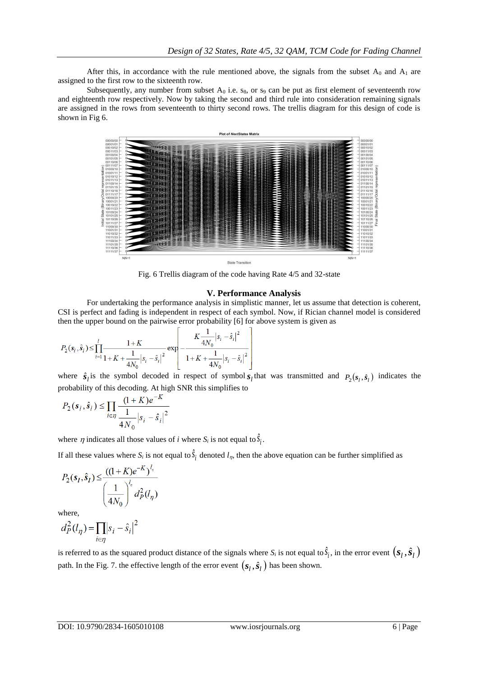After this, in accordance with the rule mentioned above, the signals from the subset  $A_0$  and  $A_1$  are assigned to the first row to the sixteenth row.

Subsequently, any number from subset  $A_0$  i.e.  $s_8$ , or  $s_9$  can be put as first element of seventeenth row and eighteenth row respectively. Now by taking the second and third rule into consideration remaining signals are assigned in the rows from seventeenth to thirty second rows. The trellis diagram for this design of code is shown in Fig 6.



Fig. 6 Trellis diagram of the code having Rate 4/5 and 32-state

## **V. Performance Analysis**

For undertaking the performance analysis in simplistic manner, let us assume that detection is coherent, CSI is perfect and fading is independent in respect of each symbol. Now, if Rician channel model is considered then the upper bound on the pairwise error probability [6] for above system is given as

$$
P_2(s_i, \hat{s}_i) \le \prod_{i=1}^l \frac{1+K}{1+K + \frac{1}{4N_0} |s_i - \hat{s}_i|^2} \exp \left[-\frac{K\frac{1}{4N_0} |s_i - \hat{s}_i|^2}{1+K + \frac{1}{4N_0} |s_i - \hat{s}_i|^2}\right]
$$

where  $\hat{s}_l$  is the symbol decoded in respect of symbol  $s_l$  that was transmitted and  $P_2(s_l, \hat{s}_l)$  indicates the probability of this decoding. At high SNR this simplifies to

$$
P_2(s_i, \hat{s}_i) \le \prod_{i \in \eta} \frac{(1 + K)e^{-K}}{\frac{1}{4N_0} |s_i - \hat{s}_i|^2}
$$

where  $\eta$  indicates all those values of *i* where  $S_i$  is not equal to  $S_i$ .

If all these values where  $S_i$  is not equal to  $S_i$  denoted  $l_n$ , then the above equation can be further simplified as

$$
P_2(s_l, \hat{s}_l) \le \frac{((1+K)e^{-K})^{l_n}}{\left(\frac{1}{4N_0}\right)^{l_n} d_P^2(l_n)}
$$

where,

$$
d_P^2(l_\eta) = \prod_{i \in \eta} |s_i - \hat{s}_i|^2
$$

is referred to as the squared product distance of the signals where  $S_i$  is not equal to  $\hat{S}_i$ , in the error event  $(s_i, \hat{s}_i)$ path. In the Fig. 7. the effective length of the error event  $(s_l, \hat{s}_l)$  has been shown.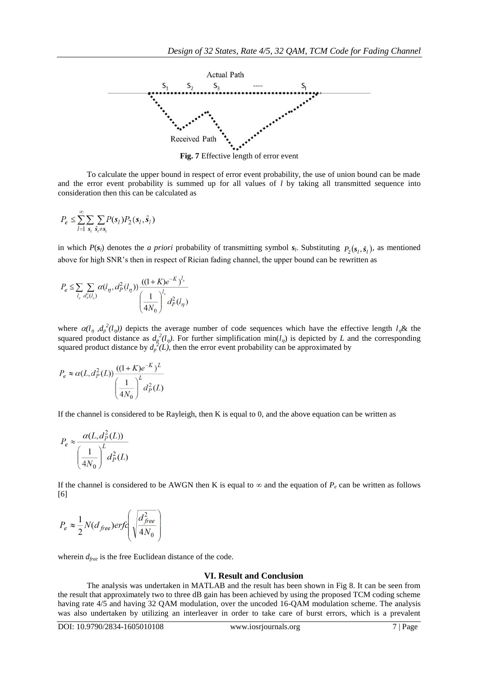

**Fig. 7** Effective length of error event

To calculate the upper bound in respect of error event probability, the use of union bound can be made and the error event probability is summed up for all values of *l* by taking all transmitted sequence into consideration then this can be calculated as

$$
P_e \leq \sum_{l=1}^{\infty} \sum_{s_i} \sum_{\hat{s}_i \neq s_l} P(s_l) P_2(s_l, \hat{s}_l)
$$

in which  $P(s_i)$  denotes the *a priori* probability of transmitting symbol  $s_i$ . Substituting  $P_2(s_i, \hat{s}_i)$ , as mentioned above for high SNR's then in respect of Rician fading channel, the upper bound can be rewritten as

$$
P_e \le \sum_{l_{\eta}} \sum_{d_{\rho}^2(l_{\eta})} \alpha(l_{\eta}, d_{P}^2(l_{\eta})) \frac{((1+K)e^{-K})^{l_{\eta}}}{\left(\frac{1}{4N_0}\right)^{l_{\eta}}} d_{P}^2(l_{\eta})
$$

where  $\alpha(l_\eta, d_\rho^2(l_\eta))$  depicts the average number of code sequences which have the effective length  $l_\eta \&$  the squared product distance as  $d_p^2(l_p)$ . For further simplification min( $l_p$ ) is depicted by *L* and the corresponding squared product distance by  $d_p^2(L)$ , then the error event probability can be approximated by

$$
P_e \approx \alpha(L, d_P^2(L)) \frac{((1+K)e^{-K})^L}{\left(\frac{1}{4N_0}\right)^L d_P^2(L)}
$$

If the channel is considered to be Rayleigh, then K is equal to 0, and the above equation can be written as

$$
P_e \approx \frac{\alpha(L, d_P^2(L))}{\left(\frac{1}{4N_0}\right)^L d_P^2(L)}
$$

If the channel is considered to be AWGN then K is equal to  $\infty$  and the equation of  $P_e$  can be written as follows [6]

$$
P_e \approx \frac{1}{2} N (d_{free}) erf \left( \sqrt{\frac{d_{free}^2}{4N_0}} \right)
$$

wherein *dfree* is the free Euclidean distance of the code.

### **VI. Result and Conclusion**

The analysis was undertaken in MATLAB and the result has been shown in Fig 8. It can be seen from the result that approximately two to three dB gain has been achieved by using the proposed TCM coding scheme having rate 4/5 and having 32 QAM modulation, over the uncoded 16-QAM modulation scheme. The analysis was also undertaken by utilizing an interleaver in order to take care of burst errors, which is a prevalent